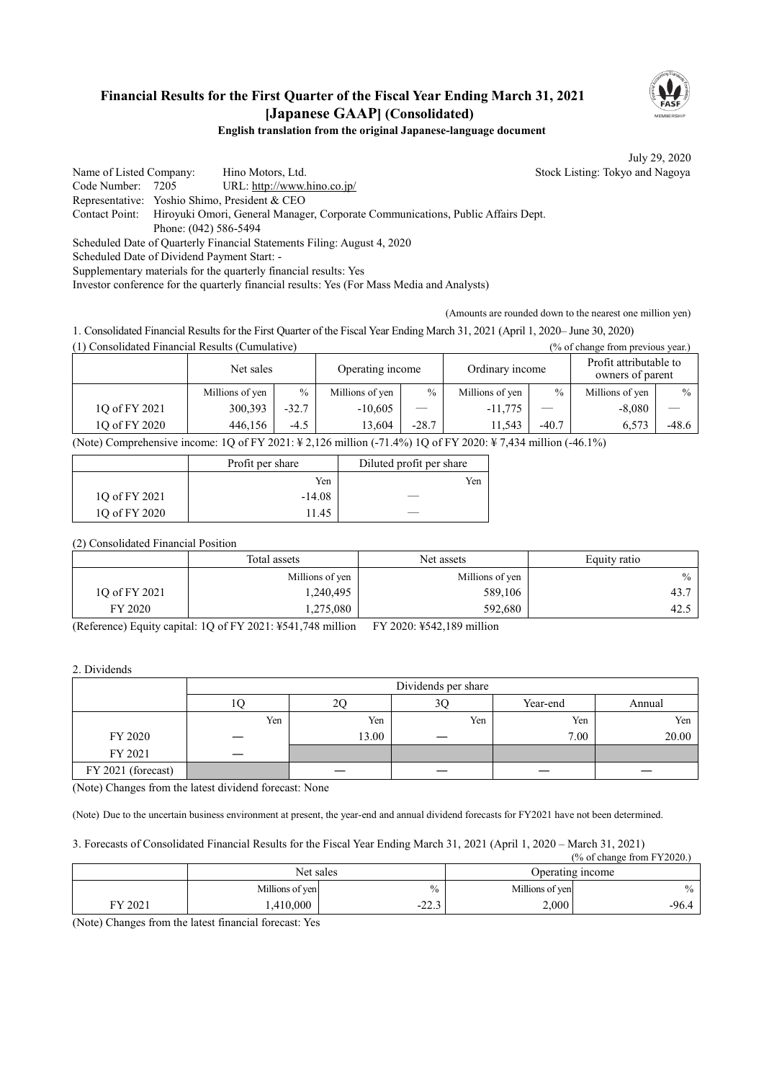## **Financial Results for the First Quarter of the Fiscal Year Ending March 31, 2021 [Japanese GAAP] (Consolidated)**



## **English translation from the original Japanese-language document**

July 29, 2020

Name of Listed Company: Hino Motors, Ltd. Stock Listing: Tokyo and Nagoya Code Number: 7205 URL: http://www.hino.co.jp/ Representative: Yoshio Shimo, President & CEO Contact Point: Hiroyuki Omori, General Manager, Corporate Communications, Public Affairs Dept. Phone: (042) 586-5494 Scheduled Date of Quarterly Financial Statements Filing: August 4, 2020 Scheduled Date of Dividend Payment Start: - Supplementary materials for the quarterly financial results: Yes

Investor conference for the quarterly financial results: Yes (For Mass Media and Analysts)

(Amounts are rounded down to the nearest one million yen)

1. Consolidated Financial Results for the First Quarter of the Fiscal Year Ending March 31, 2021 (April 1, 2020– June 30, 2020) (1) Consolidated Financial Results (Cumulative) (% of change from previous year.)

|               | Operating income<br>Net sales |         | Ordinary income |               | Profit attributable to<br>owners of parent |         |                 |         |
|---------------|-------------------------------|---------|-----------------|---------------|--------------------------------------------|---------|-----------------|---------|
|               | Millions of yen               | $\%$    | Millions of yen | $\frac{0}{0}$ | Millions of yen                            | $\%$    | Millions of yen | $\%$    |
| 10 of FY 2021 | 300,393                       | $-32.7$ | $-10,605$       |               | $-11,775$                                  |         | $-8,080$        |         |
| 1Q of FY 2020 | 446.156                       | $-4.5$  | 13.604          | $-28.7$       | 1.543                                      | $-40.7$ | 6.573           | $-48.6$ |

(Note) Comprehensive income: 1Q of FY 2021: ¥ 2,126 million (-71.4%) 1Q of FY 2020: ¥ 7,434 million (-46.1%)

|               | Profit per share | Diluted profit per share |
|---------------|------------------|--------------------------|
|               | Yen              | Yen                      |
| 1Q of FY 2021 | $-14.08$         |                          |
| 10 of FY 2020 | 11.45            |                          |

(2) Consolidated Financial Position

|               | Total assets    | Net assets      | Equity ratio |  |
|---------------|-----------------|-----------------|--------------|--|
|               | Millions of yen | Millions of yen | $\%$         |  |
| 10 of FY 2021 | 1,240,495       | 589,106         | 43.          |  |
| FY 2020       | 1,275,080       | 592,680         | 42.          |  |

(Reference) Equity capital: 1Q of FY 2021: ¥541,748 million FY 2020: ¥542,189 million

## 2. Dividends

|                    | Dividends per share |       |     |          |        |  |
|--------------------|---------------------|-------|-----|----------|--------|--|
|                    |                     | 20    | 3Q  | Year-end | Annual |  |
|                    | Yen                 | Yen   | Yen | Yen      | Yen    |  |
| FY 2020            |                     | 13.00 |     | 7.00     | 20.00  |  |
| FY 2021            |                     |       |     |          |        |  |
| FY 2021 (forecast) |                     |       |     |          |        |  |

(Note) Changes from the latest dividend forecast: None

(Note) Due to the uncertain business environment at present, the year-end and annual dividend forecasts for FY2021 have not been determined.

## 3. Forecasts of Consolidated Financial Results for the Fiscal Year Ending March 31, 2021 (April 1, 2020 – March 31, 2021) (% of change from FY2020.)

|         | Net sales       |               |                 | 170 OI Спанес пош г 12020.)<br>Operating income |
|---------|-----------------|---------------|-----------------|-------------------------------------------------|
|         | Millions of yen | $\%$          | Millions of yen | $\%$                                            |
| FY 2021 | .410,000        | 222<br>ن 22 - | 2,000           | -96.4                                           |

(Note) Changes from the latest financial forecast: Yes